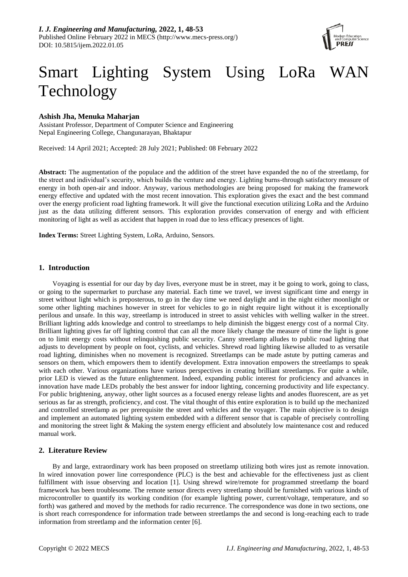

# Smart Lighting System Using LoRa WAN Technology

# **Ashish Jha, Menuka Maharjan**

Assistant Professor, Department of Computer Science and Engineering Nepal Engineering College, Changunarayan, Bhaktapur

Received: 14 April 2021; Accepted: 28 July 2021; Published: 08 February 2022

**Abstract:** The augmentation of the populace and the addition of the street have expanded the no of the streetlamp, for the street and individual's security, which builds the venture and energy. Lighting burns-through satisfactory measure of energy in both open-air and indoor. Anyway, various methodologies are being proposed for making the framework energy effective and updated with the most recent innovation. This exploration gives the exact and the best command over the energy proficient road lighting framework. It will give the functional execution utilizing LoRa and the Arduino just as the data utilizing different sensors. This exploration provides conservation of energy and with efficient monitoring of light as well as accident that happen in road due to less efficacy presences of light.

**Index Terms:** Street Lighting System, LoRa, Arduino, Sensors.

# **1. Introduction**

Voyaging is essential for our day by day lives, everyone must be in street, may it be going to work, going to class, or going to the supermarket to purchase any material. Each time we travel, we invest significant time and energy in street without light which is preposterous, to go in the day time we need daylight and in the night either moonlight or some other lighting machines however in street for vehicles to go in night require light without it is exceptionally perilous and unsafe. In this way, streetlamp is introduced in street to assist vehicles with welling walker in the street. Brilliant lighting adds knowledge and control to streetlamps to help diminish the biggest energy cost of a normal City. Brilliant lighting gives far off lighting control that can all the more likely change the measure of time the light is gone on to limit energy costs without relinquishing public security. Canny streetlamp alludes to public road lighting that adjusts to development by people on foot, cyclists, and vehicles. Shrewd road lighting likewise alluded to as versatile road lighting, diminishes when no movement is recognized. Streetlamps can be made astute by putting cameras and sensors on them, which empowers them to identify development. Extra innovation empowers the streetlamps to speak with each other. Various organizations have various perspectives in creating brilliant streetlamps. For quite a while, prior LED is viewed as the future enlightenment. Indeed, expanding public interest for proficiency and advances in innovation have made LEDs probably the best answer for indoor lighting, concerning productivity and life expectancy. For public brightening, anyway, other light sources as a focused energy release lights and anodes fluorescent, are as yet serious as far as strength, proficiency, and cost. The vital thought of this entire exploration is to build up the mechanized and controlled streetlamp as per prerequisite the street and vehicles and the voyager. The main objective is to design and implement an automated lighting system embedded with a different sensor that is capable of precisely controlling and monitoring the street light & Making the system energy efficient and absolutely low maintenance cost and reduced manual work.

# **2. Literature Review**

By and large, extraordinary work has been proposed on streetlamp utilizing both wires just as remote innovation. In wired innovation power line correspondence (PLC) is the best and achievable for the effectiveness just as client fulfillment with issue observing and location [1]. Using shrewd wire/remote for programmed streetlamp the board framework has been troublesome. The remote sensor directs every streetlamp should be furnished with various kinds of microcontroller to quantify its working condition (for example lighting power, current/voltage, temperature, and so forth) was gathered and moved by the methods for radio recurrence. The correspondence was done in two sections, one is short reach correspondence for information trade between streetlamps the and second is long-reaching each to trade information from streetlamp and the information center [6].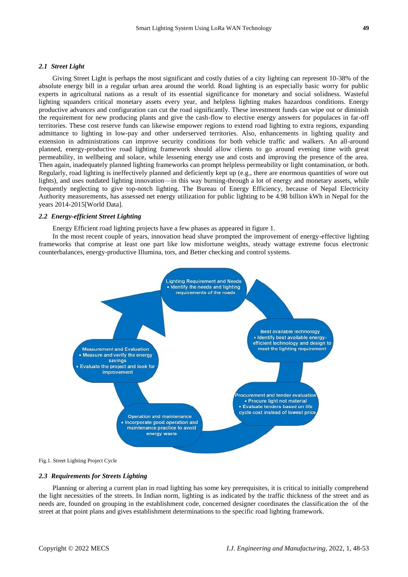## *2.1 Street Light*

Giving Street Light is perhaps the most significant and costly duties of a city lighting can represent 10-38% of the absolute energy bill in a regular urban area around the world. Road lighting is an especially basic worry for public experts in agricultural nations as a result of its essential significance for monetary and social solidness. Wasteful lighting squanders critical monetary assets every year, and helpless lighting makes hazardous conditions. Energy productive advances and configuration can cut the road significantly. These investment funds can wipe out or diminish the requirement for new producing plants and give the cash-flow to elective energy answers for populaces in far-off territories. These cost reserve funds can likewise empower regions to extend road lighting to extra regions, expanding admittance to lighting in low-pay and other underserved territories. Also, enhancements in lighting quality and extension in administrations can improve security conditions for both vehicle traffic and walkers. An all-around planned, energy-productive road lighting framework should allow clients to go around evening time with great permeability, in wellbeing and solace, while lessening energy use and costs and improving the presence of the area. Then again, inadequately planned lighting frameworks can prompt helpless permeability or light contamination, or both. Regularly, road lighting is ineffectively planned and deficiently kept up (e.g., there are enormous quantities of wore out lights), and uses outdated lighting innovation—in this way burning-through a lot of energy and monetary assets, while frequently neglecting to give top-notch lighting. The Bureau of Energy Efficiency, because of Nepal Electricity Authority measurements, has assessed net energy utilization for public lighting to be 4.98 billion kWh in Nepal for the years 2014-2015[World Data].

## *2.2 Energy-efficient Street Lighting*

Energy Efficient road lighting projects have a few phases as appeared in figure 1.

In the most recent couple of years, innovation head shave prompted the improvement of energy-effective lighting frameworks that comprise at least one part like low misfortune weights, steady wattage extreme focus electronic counterbalances, energy-productive Illumina, tors, and Better checking and control systems.



Fig.1. Street Lighting Project Cycle

## *2.3 Requirements for Streets Lighting*

Planning or altering a current plan in road lighting has some key prerequisites, it is critical to initially comprehend the light necessities of the streets. In Indian norm, lighting is as indicated by the traffic thickness of the street and as needs are, founded on grouping in the establishment code, concerned designer coordinates the classification the of the street at that point plans and gives establishment determinations to the specific road lighting framework.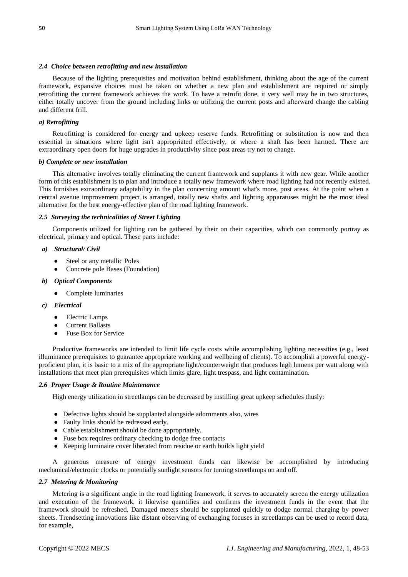## *2.4 Choice between retrofitting and new installation*

Because of the lighting prerequisites and motivation behind establishment, thinking about the age of the current framework, expansive choices must be taken on whether a new plan and establishment are required or simply retrofitting the current framework achieves the work. To have a retrofit done, it very well may be in two structures, either totally uncover from the ground including links or utilizing the current posts and afterward change the cabling and different frill.

#### *a) Retrofitting*

Retrofitting is considered for energy and upkeep reserve funds. Retrofitting or substitution is now and then essential in situations where light isn't appropriated effectively, or where a shaft has been harmed. There are extraordinary open doors for huge upgrades in productivity since post areas try not to change.

#### *b) Complete or new installation*

This alternative involves totally eliminating the current framework and supplants it with new gear. While another form of this establishment is to plan and introduce a totally new framework where road lighting had not recently existed. This furnishes extraordinary adaptability in the plan concerning amount what's more, post areas. At the point when a central avenue improvement project is arranged, totally new shafts and lighting apparatuses might be the most ideal alternative for the best energy-effective plan of the road lighting framework.

### *2.5 Surveying the technicalities of Street Lighting*

Components utilized for lighting can be gathered by their on their capacities, which can commonly portray as electrical, primary and optical. These parts include:

## *a) Structural/ Civil*

- Steel or any metallic Poles
- Concrete pole Bases (Foundation)

#### *b) Optical Components*

● Complete luminaries

#### *c) Electrical*

- **Electric Lamps**
- **Current Ballasts**
- Fuse Box for Service

Productive frameworks are intended to limit life cycle costs while accomplishing lighting necessities (e.g., least illuminance prerequisites to guarantee appropriate working and wellbeing of clients). To accomplish a powerful energyproficient plan, it is basic to a mix of the appropriate light/counterweight that produces high lumens per watt along with installations that meet plan prerequisites which limits glare, light trespass, and light contamination.

# *2.6 Proper Usage & Routine Maintenance*

High energy utilization in streetlamps can be decreased by instilling great upkeep schedules thusly:

- Defective lights should be supplanted alongside adornments also, wires
- Faulty links should be redressed early.
- Cable establishment should be done appropriately.
- Fuse box requires ordinary checking to dodge free contacts
- Keeping luminaire cover liberated from residue or earth builds light yield

A generous measure of energy investment funds can likewise be accomplished by introducing mechanical/electronic clocks or potentially sunlight sensors for turning streetlamps on and off.

#### *2.7 Metering & Monitoring*

Metering is a significant angle in the road lighting framework, it serves to accurately screen the energy utilization and execution of the framework, it likewise quantifies and confirms the investment funds in the event that the framework should be refreshed. Damaged meters should be supplanted quickly to dodge normal charging by power sheets. Trendsetting innovations like distant observing of exchanging focuses in streetlamps can be used to record data, for example,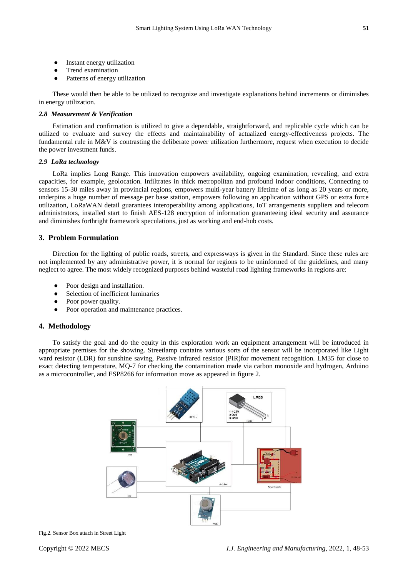- Instant energy utilization
- Trend examination
- Patterns of energy utilization

These would then be able to be utilized to recognize and investigate explanations behind increments or diminishes in energy utilization.

### *2.8 Measurement & Verification*

Estimation and confirmation is utilized to give a dependable, straightforward, and replicable cycle which can be utilized to evaluate and survey the effects and maintainability of actualized energy-effectiveness projects. The fundamental rule in M&V is contrasting the deliberate power utilization furthermore, request when execution to decide the power investment funds.

## *2.9 LoRa technology*

LoRa implies Long Range. This innovation empowers availability, ongoing examination, revealing, and extra capacities, for example, geolocation. Infiltrates in thick metropolitan and profound indoor conditions, Connecting to sensors 15-30 miles away in provincial regions, empowers multi-year battery lifetime of as long as 20 years or more, underpins a huge number of message per base station, empowers following an application without GPS or extra force utilization, LoRaWAN detail guarantees interoperability among applications, IoT arrangements suppliers and telecom administrators, installed start to finish AES-128 encryption of information guaranteeing ideal security and assurance and diminishes forthright framework speculations, just as working and end-hub costs.

# **3. Problem Formulation**

Direction for the lighting of public roads, streets, and expressways is given in the Standard. Since these rules are not implemented by any administrative power, it is normal for regions to be uninformed of the guidelines, and many neglect to agree. The most widely recognized purposes behind wasteful road lighting frameworks in regions are:

- Poor design and installation.
- Selection of inefficient luminaries
- Poor power quality.
- Poor operation and maintenance practices.

# **4. Methodology**

To satisfy the goal and do the equity in this exploration work an equipment arrangement will be introduced in appropriate premises for the showing. Streetlamp contains various sorts of the sensor will be incorporated like Light ward resistor (LDR) for sunshine saving, Passive infrared resistor (PIR)for movement recognition. LM35 for close to exact detecting temperature, MQ-7 for checking the contamination made via carbon monoxide and hydrogen, Arduino as a microcontroller, and ESP8266 for information move as appeared in figure 2.



Fig.2. Sensor Box attach in Street Light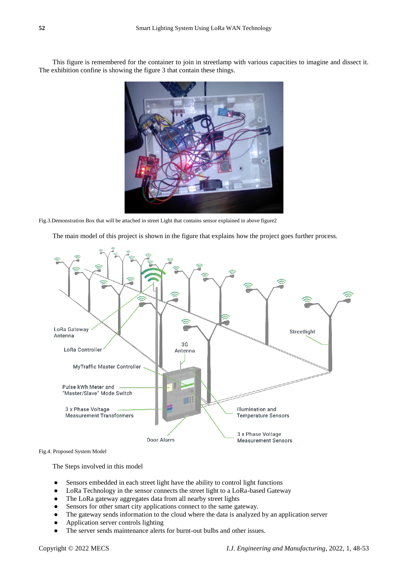This figure is remembered for the container to join in streetlamp with various capacities to imagine and dissect it. The exhibition confine is showing the figure 3 that contain these things.



Fig.3.Demonstration Box that will be attached in street Light that contains sensor explained in above figure2

The main model of this project is shown in the figure that explains how the project goes further process.



Fig.4. Proposed System Model

The Steps involved in this model

- Sensors embedded in each street light have the ability to control light functions
- LoRa Technology in the sensor connects the street light to a LoRa-based Gateway
- The LoRa gateway aggregates data from all nearby street lights
- Sensors for other smart city applications connect to the same gateway.
- The gateway sends information to the cloud where the data is analyzed by an application server
- Application server controls lighting
- The server sends maintenance alerts for burnt-out bulbs and other issues.